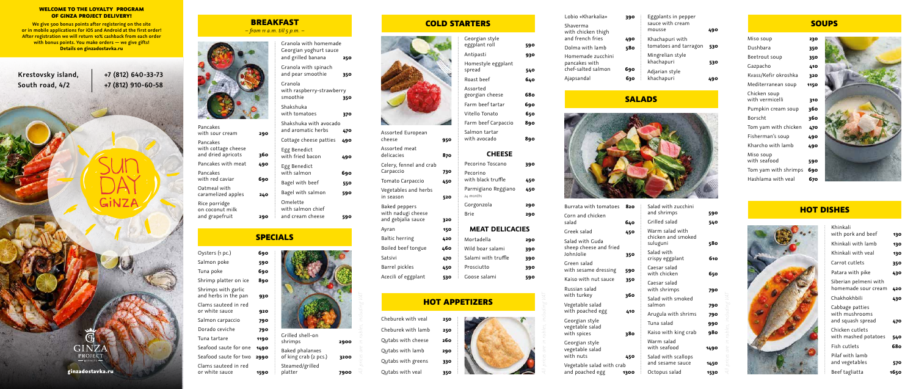| Assorted European<br>cheese                                      | 950 |  |
|------------------------------------------------------------------|-----|--|
| Assorted meat<br>delicacies                                      | 870 |  |
| Celery, fennel and crab<br>Carpaccio                             | 730 |  |
| Tomato Carpaccio                                                 | 450 |  |
| Vegetables and herbs<br>in season                                | 520 |  |
| <b>Baked peppers</b><br>with nadugi cheese<br>and gebjalia sauce | 320 |  |
| Ayran                                                            | 150 |  |
| Baltic herring                                                   | 420 |  |
| Boiled beef tongue                                               | 460 |  |
| Satsivi                                                          | 470 |  |
| Barrel pickles                                                   | 450 |  |
| Acecili of eggplant                                              | 530 |  |



|                 | 290 |
|-----------------|-----|
| IEAT DELICACIES |     |
| tadella         | 290 |
| l boar salami   | 390 |
| mi with truffle | 390 |
| iciutto         | 390 |
| se salami       | 590 |
|                 |     |
| <b>ZERS</b>     |     |
|                 |     |



| Wild boar salami    | 390 |
|---------------------|-----|
| Salami with truffle | 390 |
| Prosciutto          | 390 |
| Goose salami        | 59  |

### **HOT APPETI**

| Miso soup                       | 230  |
|---------------------------------|------|
| Dushbara                        | 350  |
| Beetrout soup                   | 350  |
| Gazpacho                        | 410  |
| Kvass/Kefir okroshka            | 320  |
| Mediterranean soup              | 1150 |
| Chicken soup<br>with vermicelli | 310  |
| Pumpkin cream soup              | 360  |
| <b>Borscht</b>                  | 360  |
| Tom yam with chicken            | 470  |
| Fisherman's soup                | 490  |
| Kharcho with lamb               | 490  |
| Miso soup<br>with seafood       | 590  |
| Tom yam with shrimps            | 690  |
| Hashlama with veal              | 670  |



| Pancakes<br>with sour cream                           | 29  |
|-------------------------------------------------------|-----|
| Pancakes<br>with cottage cheese<br>and dried apricots | 360 |
| Pancakes with meat                                    | 490 |
| Pancakes<br>with red caviar                           | 690 |
| Oatmeal with<br>caramelized apples                    | 240 |
| Rice porridge<br>on coconut milk<br>and grapefruit    |     |

| Burrata with tomatoes                     | 820  | Salad with zucchini            |            |
|-------------------------------------------|------|--------------------------------|------------|
| Corn and chicken<br>salad                 | 640  | and shrimps<br>Grilled salad   | 590<br>540 |
| Greek salad                               | 450  | Warm salad with                |            |
| Salad with Guda<br>sheep cheese and fried |      | chicken and smoked<br>suluguni | 580        |
| JohnJolie                                 | 350  | Salad with<br>crispy eggplant  | 610        |
| Green salad<br>with sesame dressing       | 590  | Caesar salad<br>with chicken   | 650        |
| Kaiso with nut sauce                      | 350  | Caesar salad                   |            |
| Russian salad                             |      | with shrimps                   | 790        |
| with turkey                               | 360  | Salad with smoked              |            |
| Vegetable salad<br>with poached egg       | 410  | salmon                         | 790        |
|                                           |      | Arugula with shrims            | 790        |
| Georgian style<br>vegetable salad         |      | Tuna salad                     | 990        |
| with spices                               | 380  | Kaiso with king crab           | 980        |
| Georgian style<br>vegetable salad         |      | Warm salad<br>with seafood     | 1490       |
| with nuts                                 | 450  | Salad with scallops            |            |
| Vegetable salad with crab                 |      | and sesame sauce               | 1450       |
| and poached egg                           | 1300 | Octopus salad                  | 1530       |

### **SOUPS**

| Lobio «Kharkalia»<br>Shaverma          | 390 | Eggplants in pepper<br>sauce with cream |     |
|----------------------------------------|-----|-----------------------------------------|-----|
| with chicken thigh<br>and french fries | 490 | mousse<br>Khachapuri with               | 490 |
| Dolma with lamb                        | 580 | tomatoes and tarragon                   | 530 |
| Homemade zucchini<br>pancakes with     |     | Mingrelian style<br>khachapuri          | 530 |
| chef-salted salmon                     | 690 | Adjarian style                          |     |
| Ajapsandal                             | 630 | khachapuri                              | 490 |

### **SALADS**



| Khinkali                                               |      |
|--------------------------------------------------------|------|
| with pork and beef                                     | 130  |
| Khinkali with lamb                                     | 130  |
| Khinkali with veal                                     | 130  |
| Carrot cutlets                                         | 350  |
| Patara with pike                                       | 430  |
| Siberian pelmeni with<br>homemade sour cream           | 420  |
| Chakhokhbili                                           | 430  |
| Cabbage patties<br>with mushrooms<br>and squash spread | 470  |
| Chicken cutlets<br>with mashed potatoes                | 540  |
| Fish cutlets                                           | 680  |
| Pilaf with lamh<br>and vegetables                      | 570  |
| Beef tagliatta                                         | 1650 |

| Oysters (1 pc.)                             | 690  |
|---------------------------------------------|------|
| Salmon poke                                 | 590  |
| Tuna poke                                   | 690  |
| Shrimp platter on ice                       | 890  |
| Shrimps with garlic<br>and herbs in the pan | 930  |
| Clams sauteed in red<br>or white sauce      | 920  |
| Salmon carpaccio                            | 790  |
| Dorado ceviche                              | 790  |
| Tuna tartare                                | 1190 |
| Seafood saute for one                       | 1490 |
| Seafood saute for two                       | 2990 |
| Clams sauteed in red                        |      |

or white sauce **1590**

Granola with homemade Georgian yoghurt sauce and grilled banana **250**

Granola with spinach and pear smoothie **350**

Granola

with raspberry-strawberry smoothie **350** 

Shakshuka

with tomatoes **370** Shakshuka with avocado and aromatic herbs **470** Cottage cheese patties **490**

Egg Benedict

with fried bacon **490**

Egg Benedict

with salmon **690** Bagel with beef **550** Bagel with salmon **590**

Omelette with salmon chief



and cream cheese **590**

### COLD STARTERS

## SPECIALS

|  | bles, including VAT |
|--|---------------------|
|  |                     |

### HOT DISHES



BREAKFAST *– from 11 a.m. till 5 p.m. –*

> Grilled shell-on shrimps **2900** Baked phalanxes of king crab (2 pcs.) **3200** Steamed/grilled platter **7900**



### WELCOME TO THE LOYALTY PROGRAM OF GINZA PROJECT DELIVERY!

**We give 500 bonus points after registering on the site or in mobile applications for iOS and Android at the first order! After registration we will return 10% cashback from each order with bonus points. You make orders — we give gifts! Details on ginzadostavka.ru**

|  |  | ginzadostavka.ru |  |  |  |
|--|--|------------------|--|--|--|
|  |  |                  |  |  |  |
|  |  |                  |  |  |  |
|  |  |                  |  |  |  |

GINZA PROJECT



**+7 (812) 640-33-73 +7 (812) 910-60-58**

GINZA